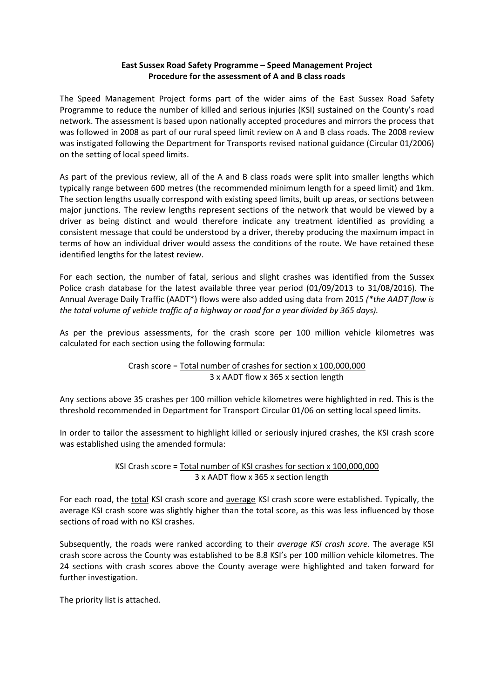#### **East Sussex Road Safety Programme – Speed Management Project Procedure for the assessment of A and B class roads**

The Speed Management Project forms part of the wider aims of the East Sussex Road Safety Programme to reduce the number of killed and serious injuries (KSI) sustained on the County's road network. The assessment is based upon nationally accepted procedures and mirrors the process that was followed in 2008 as part of our rural speed limit review on A and B class roads. The 2008 review was instigated following the Department for Transports revised national guidance (Circular 01/2006) on the setting of local speed limits.

As part of the previous review, all of the A and B class roads were split into smaller lengths which typically range between 600 metres (the recommended minimum length for a speed limit) and 1km. The section lengths usually correspond with existing speed limits, built up areas, or sections between major junctions. The review lengths represent sections of the network that would be viewed by a driver as being distinct and would therefore indicate any treatment identified as providing a consistent message that could be understood by a driver, thereby producing the maximum impact in terms of how an individual driver would assess the conditions of the route. We have retained these identified lengths for the latest review.

For each section, the number of fatal, serious and slight crashes was identified from the Sussex Police crash database for the latest available three year period (01/09/2013 to 31/08/2016). The Annual Average Daily Traffic (AADT\*) flows were also added using data from 2015 *(\*the AADT flow is the total volume of vehicle traffic of a highway or road for a year divided by 365 days).*

As per the previous assessments, for the crash score per 100 million vehicle kilometres was calculated for each section using the following formula:

# Crash score = Total number of crashes for section x 100,000,000 3 x AADT flow x 365 x section length

Any sections above 35 crashes per 100 million vehicle kilometres were highlighted in red. This is the threshold recommended in Department for Transport Circular 01/06 on setting local speed limits.

In order to tailor the assessment to highlight killed or seriously injured crashes, the KSI crash score was established using the amended formula:

> KSI Crash score = Total number of KSI crashes for section x 100,000,000 3 x AADT flow x 365 x section length

For each road, the total KSI crash score and average KSI crash score were established. Typically, the average KSI crash score was slightly higher than the total score, as this was less influenced by those sections of road with no KSI crashes.

Subsequently, the roads were ranked according to their *average KSI crash score*. The average KSI crash score across the County was established to be 8.8 KSI's per 100 million vehicle kilometres. The 24 sections with crash scores above the County average were highlighted and taken forward for further investigation.

The priority list is attached.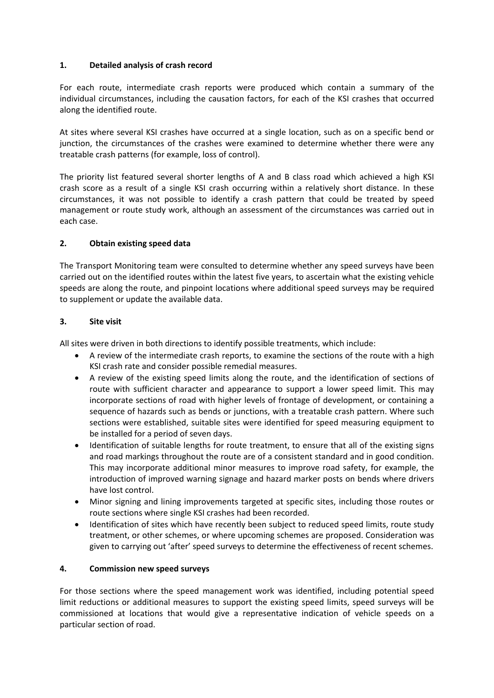# **1. Detailed analysis of crash record**

For each route, intermediate crash reports were produced which contain a summary of the individual circumstances, including the causation factors, for each of the KSI crashes that occurred along the identified route.

At sites where several KSI crashes have occurred at a single location, such as on a specific bend or junction, the circumstances of the crashes were examined to determine whether there were any treatable crash patterns (for example, loss of control).

The priority list featured several shorter lengths of A and B class road which achieved a high KSI crash score as a result of a single KSI crash occurring within a relatively short distance. In these circumstances, it was not possible to identify a crash pattern that could be treated by speed management or route study work, although an assessment of the circumstances was carried out in each case.

# **2. Obtain existing speed data**

The Transport Monitoring team were consulted to determine whether any speed surveys have been carried out on the identified routes within the latest five years, to ascertain what the existing vehicle speeds are along the route, and pinpoint locations where additional speed surveys may be required to supplement or update the available data.

#### **3. Site visit**

All sites were driven in both directions to identify possible treatments, which include:

- A review of the intermediate crash reports, to examine the sections of the route with a high KSI crash rate and consider possible remedial measures.
- A review of the existing speed limits along the route, and the identification of sections of route with sufficient character and appearance to support a lower speed limit. This may incorporate sections of road with higher levels of frontage of development, or containing a sequence of hazards such as bends or junctions, with a treatable crash pattern. Where such sections were established, suitable sites were identified for speed measuring equipment to be installed for a period of seven days.
- Identification of suitable lengths for route treatment, to ensure that all of the existing signs and road markings throughout the route are of a consistent standard and in good condition. This may incorporate additional minor measures to improve road safety, for example, the introduction of improved warning signage and hazard marker posts on bends where drivers have lost control.
- Minor signing and lining improvements targeted at specific sites, including those routes or route sections where single KSI crashes had been recorded.
- Identification of sites which have recently been subject to reduced speed limits, route study treatment, or other schemes, or where upcoming schemes are proposed. Consideration was given to carrying out 'after' speed surveys to determine the effectiveness of recent schemes.

#### **4. Commission new speed surveys**

For those sections where the speed management work was identified, including potential speed limit reductions or additional measures to support the existing speed limits, speed surveys will be commissioned at locations that would give a representative indication of vehicle speeds on a particular section of road.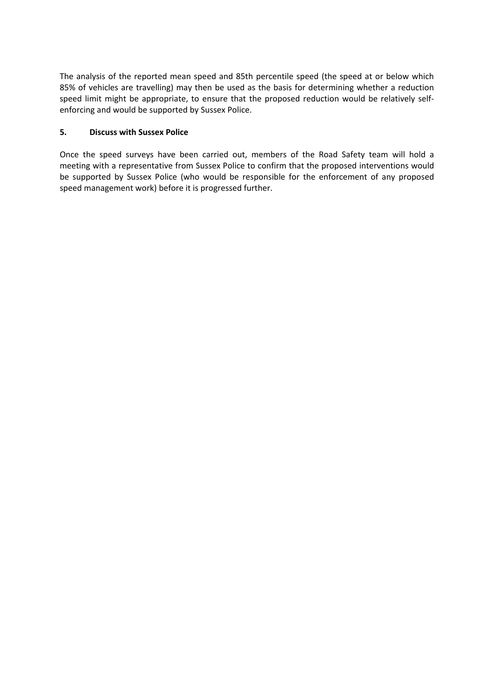The analysis of the reported mean speed and 85th percentile speed (the speed at or below which 85% of vehicles are travelling) may then be used as the basis for determining whether a reduction speed limit might be appropriate, to ensure that the proposed reduction would be relatively selfenforcing and would be supported by Sussex Police.

## **5. Discuss with Sussex Police**

Once the speed surveys have been carried out, members of the Road Safety team will hold a meeting with a representative from Sussex Police to confirm that the proposed interventions would be supported by Sussex Police (who would be responsible for the enforcement of any proposed speed management work) before it is progressed further.